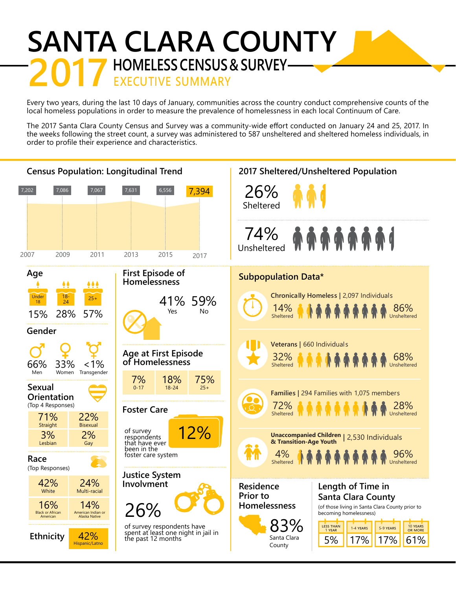## **SANTA CLARA COUNTY HOMELESS CENSUS & SURVEY-**<br>EXECUTIVE SUMMARY

Every two years, during the last 10 days of January, communities across the country conduct comprehensive counts of the local homeless populations in order to measure the prevalence of homelessness in each local Continuum of Care.

The 2017 Santa Clara County Census and Survey was a community-wide effort conducted on January 24 and 25, 2017. In the weeks following the street count, a survey was administered to 587 unsheltered and sheltered homeless individuals, in order to profile their experience and characteristics.